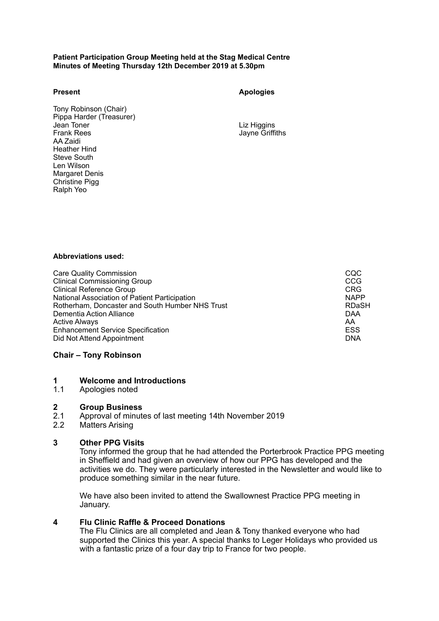#### **Patient Participation Group Meeting held at the Stag Medical Centre Minutes of Meeting Thursday 12th December 2019 at 5.30pm**

**Present Apologies**

Tony Robinson (Chair) Pippa Harder (Treasurer)<br>Jean Toner Jean Toner Liz Higgins AA Zaidi Heather Hind Steve South Len Wilson Margaret Denis Christine Pigg Ralph Yeo

Jayne Griffiths

## **Abbreviations used:**

Care Quality Commission<br>Clinical Commissioning Group Clinical Commissioning Group CCG Clinical Commissioning Group CCG Clinical Reference Group CCG Clinical Reference Group<br>
National Association of Patient Participation<br>
NAPP National Association of Patient Participation<br>
Rotherham, Doncaster and South Humber NHS Trust<br>
ROTHER TRIST NAPP Rotherham, Doncaster and South Humber NHS Trust<br>Dementia Action Alliance Dementia Action Alliance<br>Active Always AA Active Always AA Enhancement Service Specification<br>
Did Not Attend Appointment<br>
DNA Did Not Attend Appointment

# **Chair – Tony Robinson**

## **1 Welcome and Introductions**

1.1 Apologies noted

## **2 Group Business**

- 2.1 Approval of minutes of last meeting 14th November 2019
- 2.2 Matters Arising

# **3 Other PPG Visits**

Tony informed the group that he had attended the Porterbrook Practice PPG meeting in Sheffield and had given an overview of how our PPG has developed and the activities we do. They were particularly interested in the Newsletter and would like to produce something similar in the near future.

 We have also been invited to attend the Swallownest Practice PPG meeting in January.

# **4 Flu Clinic Raffle & Proceed Donations**

The Flu Clinics are all completed and Jean & Tony thanked everyone who had supported the Clinics this year. A special thanks to Leger Holidays who provided us with a fantastic prize of a four day trip to France for two people.